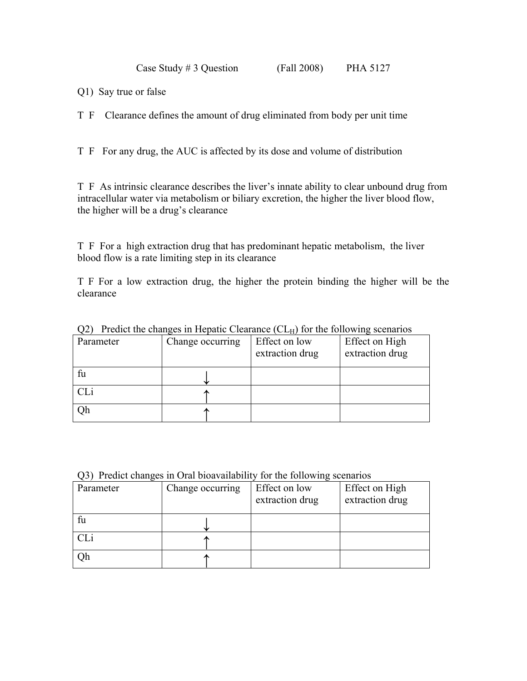Case Study # 3 Question (Fall 2008) PHA 5127

Q1) Say true or false

T F Clearance defines the amount of drug eliminated from body per unit time

T F For any drug, the AUC is affected by its dose and volume of distribution

T F As intrinsic clearance describes the liver's innate ability to clear unbound drug from intracellular water via metabolism or biliary excretion, the higher the liver blood flow, the higher will be a drug's clearance

T F For a high extraction drug that has predominant hepatic metabolism, the liver blood flow is a rate limiting step in its clearance

T F For a low extraction drug, the higher the protein binding the higher will be the clearance

| Parameter | Change occurring | Effect on low<br>extraction drug | Effect on High<br>extraction drug |
|-----------|------------------|----------------------------------|-----------------------------------|
| fu        |                  |                                  |                                   |
|           |                  |                                  |                                   |
| Эh        |                  |                                  |                                   |

 $Q2)$  Predict the changes in Hepatic Clearance (CL $_H$ ) for the following scenarios

Q3) Predict changes in Oral bioavailability for the following scenarios

| Parameter | Change occurring | Effect on low<br>extraction drug | Effect on High<br>extraction drug |
|-----------|------------------|----------------------------------|-----------------------------------|
| fu        |                  |                                  |                                   |
|           |                  |                                  |                                   |
| Оh        |                  |                                  |                                   |